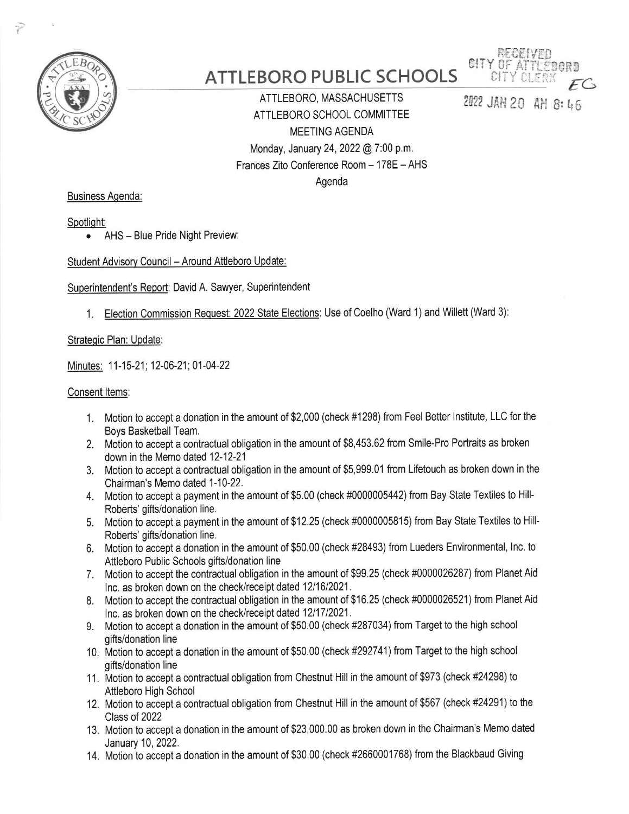

## **ATTLEBORO PUBLIC SCHOOLS**

CITY OF ATTLEBORD

2022 JAN 20 AM 8: 46

ATTLEBORO, MASSACHUSETTS ATTLEBORO SCHOOL COMMITTEE MEETING AGENDA Monday, January 24, 2022 @ 7:00 p.m. Frances Zito Conference Room - 178E - AHS Agenda

**Business Agenda:** 

Spotlight:

• AHS - Blue Pride Night Preview:

Student Advisory Council - Around Attleboro Update:

Superintendent's Report: David A. Sawyer, Superintendent

1. Election Commission Request: 2022 State Elections: Use of Coelho (Ward 1) and Willett (Ward 3):

Strategic Plan: Update:

Minutes: 11-15-21; 12-06-21; 01-04-22

Consent Items:

- 1. Motion to accept a donation in the amount of \$2,000 (check #1298) from Feel Better Institute, LLC for the Boys Basketball Team.
- 2. Motion to accept a contractual obligation in the amount of \$8,453.62 from Smile-Pro Portraits as broken down in the Memo dated 12-12-21
- 3. Motion to accept a contractual obligation in the amount of \$5,999.01 from Lifetouch as broken down in the Chairman's Memo dated 1-10-22.
- 4. Motion to accept a payment in the amount of \$5.00 (check #0000005442) from Bay State Textiles to Hill-Roberts' gifts/donation line.
- 5. Motion to accept a payment in the amount of \$12.25 (check #0000005815) from Bay State Textiles to Hill-Roberts' gifts/donation line.
- 6. Motion to accept a donation in the amount of \$50.00 (check #28493) from Lueders Environmental, Inc. to Attleboro Public Schools gifts/donation line
- 7. Motion to accept the contractual obligation in the amount of \$99.25 (check #0000026287) from Planet Aid Inc. as broken down on the check/receipt dated 12/16/2021.
- 8. Motion to accept the contractual obligation in the amount of \$16.25 (check #0000026521) from Planet Aid Inc. as broken down on the check/receipt dated 12/17/2021.
- 9. Motion to accept a donation in the amount of \$50.00 (check #287034) from Target to the high school gifts/donation line
- 10. Motion to accept a donation in the amount of \$50.00 (check #292741) from Target to the high school gifts/donation line
- 11. Motion to accept a contractual obligation from Chestnut Hill in the amount of \$973 (check #24298) to Attleboro High School
- 12. Motion to accept a contractual obligation from Chestnut Hill in the amount of \$567 (check #24291) to the Class of 2022
- 13. Motion to accept a donation in the amount of \$23,000.00 as broken down in the Chairman's Memo dated January 10, 2022.
- 14. Motion to accept a donation in the amount of \$30.00 (check #2660001768) from the Blackbaud Giving